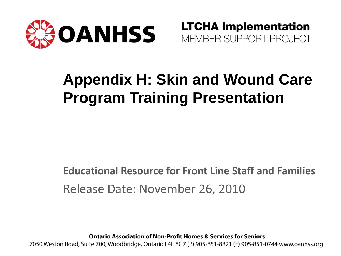

**LTCHA Implementation** MEMBER SUPPORT PROJECT

## **Appendix H: Skin and Wound Care Program Training Presentation**

**Educational Resource for Front Line Staff and Families**  Release Date: November 26, 2010

**Ontario Association of Non-Profit Homes & Services for Seniors** 

7050 Weston Road, Suite 700, Woodbridge, Ontario L4L 8G7 (P) 905-851-8821 (F) 905-851-0744 www.oanhss.org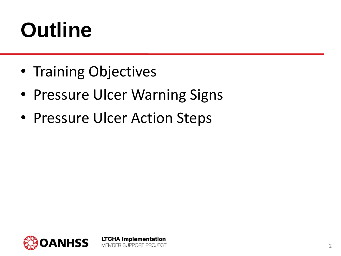# **Outline**

- Training Objectives
- Pressure Ulcer Warning Signs

**LTCHA Implementation** 

MEMBER SUPPORT PROJECT

• Pressure Ulcer Action Steps

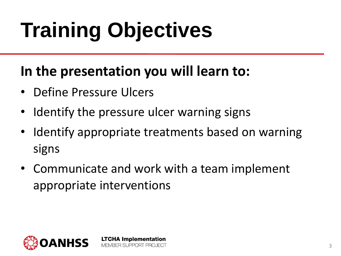# **Training Objectives**

#### **In the presentation you will learn to:**

- Define Pressure Ulcers
- Identify the pressure ulcer warning signs

**LTCHA Implementation** MEMBER SLIPPORT PROJECT

- Identify appropriate treatments based on warning signs
- Communicate and work with a team implement appropriate interventions

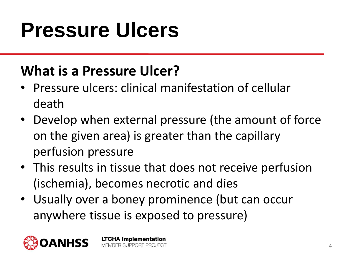#### **What is a Pressure Ulcer?**

- Pressure ulcers: clinical manifestation of cellular death
- Develop when external pressure (the amount of force on the given area) is greater than the capillary perfusion pressure
- This results in tissue that does not receive perfusion (ischemia), becomes necrotic and dies
- Usually over a boney prominence (but can occur anywhere tissue is exposed to pressure)

**LTCHA Implementation** MEMBER SUPPORT PROJECT

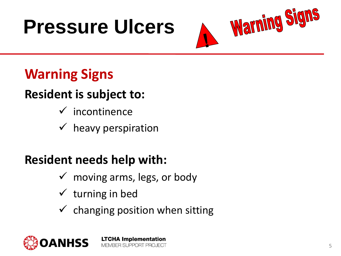

### **Warning Signs**

#### **Resident is subject to:**

- $\checkmark$  incontinence
- $\checkmark$  heavy perspiration

#### **Resident needs help with:**

- $\checkmark$  moving arms, legs, or body
- $\checkmark$  turning in bed
- $\checkmark$  changing position when sitting

**LTCHA Implementation** MEMBER SUPPORT PROJECT

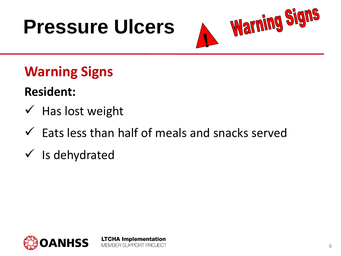

### **Warning Signs**

#### **Resident:**

- $\checkmark$  Has lost weight
- $\checkmark$  Eats less than half of meals and snacks served

**LTCHA Implementation** MEMBER SUPPORT PROJECT

 $\checkmark$  is dehydrated

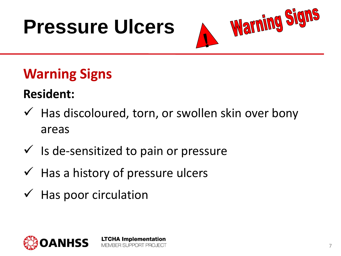

### **Warning Signs**

#### **Resident:**

- $\checkmark$  Has discoloured, torn, or swollen skin over bony areas
- $\checkmark$  Is de-sensitized to pain or pressure
- $\checkmark$  Has a history of pressure ulcers
- $\checkmark$  Has poor circulation

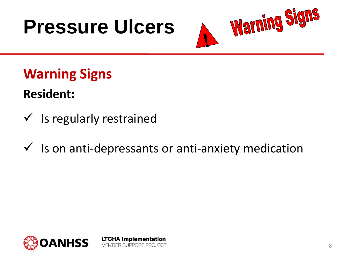

**Warning Signs**

**Resident:**

- $\checkmark$  is regularly restrained
- $\checkmark$  Is on anti-depressants or anti-anxiety medication

**LTCHA Implementation** 

MEMBER SUPPORT PROJECT

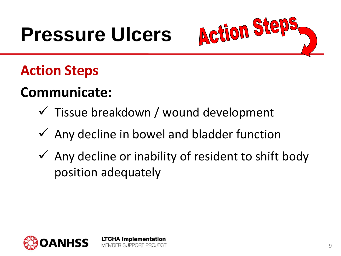

### **Action Steps**

#### **Communicate:**

- $\checkmark$  Tissue breakdown / wound development
- $\checkmark$  Any decline in bowel and bladder function

**LTCHA Implementation** MEMBER SUPPORT PROJECT

 $\checkmark$  Any decline or inability of resident to shift body position adequately

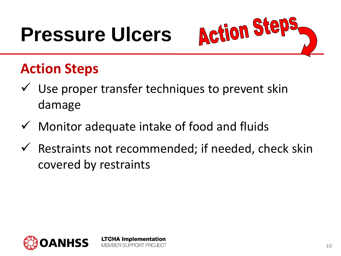

### **Action Steps**

- $\checkmark$  Use proper transfer techniques to prevent skin damage
- $\checkmark$  Monitor adequate intake of food and fluids

**LTCHA Implementation** MEMBER SUPPORT PROJECT

 $\checkmark$  Restraints not recommended; if needed, check skin covered by restraints